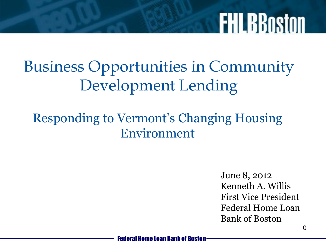#### Business Opportunities in Community Development Lending

#### Responding to Vermont's Changing Housing Environment

June 8, 2012 Kenneth A. Willis First Vice President Federal Home Loan Bank of Boston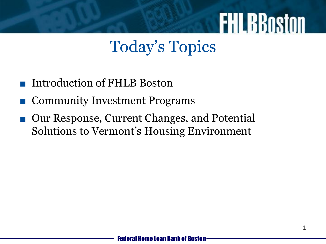#### Today's Topics

- Introduction of FHLB Boston
- Community Investment Programs
- Our Response, Current Changes, and Potential Solutions to Vermont's Housing Environment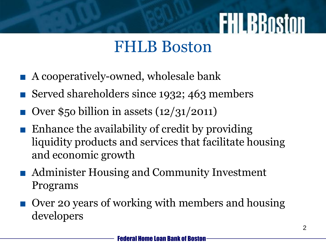#### FHLB Boston

- A cooperatively-owned, wholesale bank
- Served shareholders since 1932; 463 members
- Over \$50 billion in assets  $(12/31/2011)$
- Enhance the availability of credit by providing liquidity products and services that facilitate housing and economic growth
- Administer Housing and Community Investment Programs
- Over 20 years of working with members and housing developers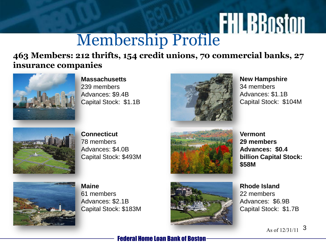## **FHLBBOSTON**

**463 Members: 212 thrifts, 154 credit unions, 70 commercial banks, 27 insurance companies**



**Massachusetts** 239 members Advances: \$9.4B Capital Stock: \$1.1B



**New Hampshire** 34 members Advances: \$1.1B Capital Stock: \$104M



**Connecticut** 78 members Advances: \$4.0B Capital Stock: \$493M



**Vermont 29 members Advances: \$0.4 billion Capital Stock: \$58M**



**Maine** 61 members Advances: \$2.1B Capital Stock: \$183M



**Rhode Island** 22 members Advances: \$6.9B Capital Stock: \$1.7B

As of  $12/31/11$  3

#### Federal Home Loan Bank of Boston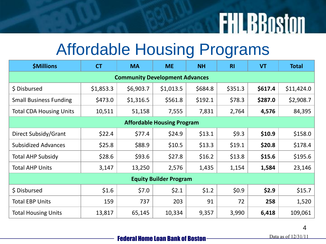#### Affordable Housing Programs

| <b>\$Millions</b>                     | <b>CT</b> | <b>MA</b> | <b>ME</b> | <b>NH</b> | <b>RI</b> | <b>VT</b> | <b>Total</b> |
|---------------------------------------|-----------|-----------|-----------|-----------|-----------|-----------|--------------|
| <b>Community Development Advances</b> |           |           |           |           |           |           |              |
| \$ Disbursed                          | \$1,853.3 | \$6,903.7 | \$1,013.5 | \$684.8   | \$351.3   | \$617.4   | \$11,424.0   |
| <b>Small Business Funding</b>         | \$473.0   | \$1,316.5 | \$561.8   | \$192.1   | \$78.3    | \$287.0   | \$2,908.7    |
| <b>Total CDA Housing Units</b>        | 10,511    | 51,158    | 7,555     | 7,831     | 2,764     | 4,576     | 84,395       |
| <b>Affordable Housing Program</b>     |           |           |           |           |           |           |              |
| Direct Subsidy/Grant                  | \$22.4    | \$77.4    | \$24.9    | \$13.1    | \$9.3     | \$10.9    | \$158.0      |
| <b>Subsidized Advances</b>            | \$25.8    | \$88.9    | \$10.5    | \$13.3    | \$19.1    | \$20.8\$  | \$178.4      |
| <b>Total AHP Subsidy</b>              | \$28.6    | \$93.6    | \$27.8    | \$16.2\$  | \$13.8    | \$15.6    | \$195.6      |
| <b>Total AHP Units</b>                | 3,147     | 13,250    | 2,576     | 1,435     | 1,154     | 1,584     | 23,146       |
| <b>Equity Builder Program</b>         |           |           |           |           |           |           |              |
| \$ Disbursed                          | \$1.6     | \$7.0     | \$2.1     | \$1.2     | \$0.9     | \$2.9     | \$15.7       |
| <b>Total EBP Units</b>                | 159       | 737       | 203       | 91        | 72        | 258       | 1,520        |
| <b>Total Housing Units</b>            | 13,817    | 65,145    | 10,334    | 9,357     | 3,990     | 6,418     | 109,061      |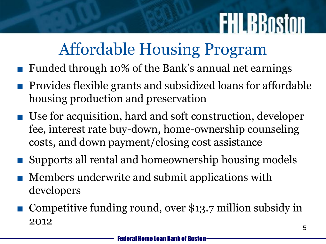#### Affordable Housing Program

- Funded through 10% of the Bank's annual net earnings
- Provides flexible grants and subsidized loans for affordable housing production and preservation
- Use for acquisition, hard and soft construction, developer fee, interest rate buy-down, home-ownership counseling costs, and down payment/closing cost assistance
- Supports all rental and homeownership housing models
- Members underwrite and submit applications with developers
- Competitive funding round, over \$13.7 million subsidy in 2012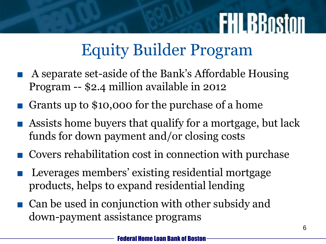#### Equity Builder Program

- A separate set-aside of the Bank's Affordable Housing Program -- \$2.4 million available in 2012
- Grants up to \$10,000 for the purchase of a home
- Assists home buyers that qualify for a mortgage, but lack funds for down payment and/or closing costs
- Covers rehabilitation cost in connection with purchase
- Leverages members' existing residential mortgage products, helps to expand residential lending
- Can be used in conjunction with other subsidy and down-payment assistance programs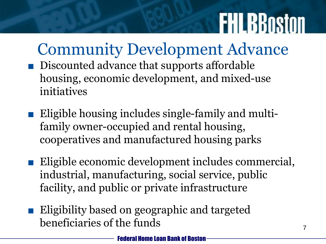#### Community Development Advance

- Discounted advance that supports affordable housing, economic development, and mixed-use initiatives
- Eligible housing includes single-family and multifamily owner-occupied and rental housing, cooperatives and manufactured housing parks
- Eligible economic development includes commercial, industrial, manufacturing, social service, public facility, and public or private infrastructure
- Eligibility based on geographic and targeted beneficiaries of the funds  $7^7$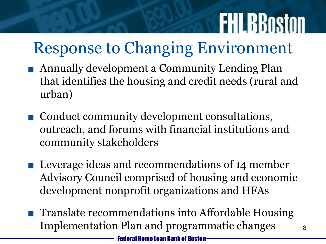### Response to Changing Environment

- Annually development a Community Lending Plan that identifies the housing and credit needs (rural and urban)
- Conduct community development consultations, outreach, and forums with financial institutions and community stakeholders
- Leverage ideas and recommendations of 14 member Advisory Council comprised of housing and economic development nonprofit organizations and HFAs
- Translate recommendations into Affordable Housing Implementation Plan and programmatic changes  $\frac{8}{8}$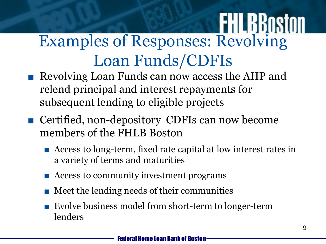### Examples of Responses: Revolving Loan Funds/CDFIs

- Revolving Loan Funds can now access the AHP and relend principal and interest repayments for subsequent lending to eligible projects
- Certified, non-depository CDFIs can now become members of the FHLB Boston
	- Access to long-term, fixed rate capital at low interest rates in a variety of terms and maturities
	- Access to community investment programs
	- Meet the lending needs of their communities
	- Evolve business model from short-term to longer-term lenders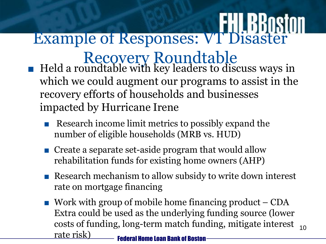# Example of Responses: VT Disaster

- Recovery Roundtable ■ Held a roundtable with key leaders to discuss ways in which we could augment our programs to assist in the recovery efforts of households and businesses impacted by Hurricane Irene
	- Research income limit metrics to possibly expand the number of eligible households (MRB vs. HUD)
	- Create a separate set-aside program that would allow rehabilitation funds for existing home owners (AHP)
	- Research mechanism to allow subsidy to write down interest rate on mortgage financing
	- Federal Home Loan Bank of Boston  $\blacksquare$  Work with group of mobile home financing product  $\lnot$  CDA Extra could be used as the underlying funding source (lower costs of funding, long-term match funding, mitigate interest rate risk) 10